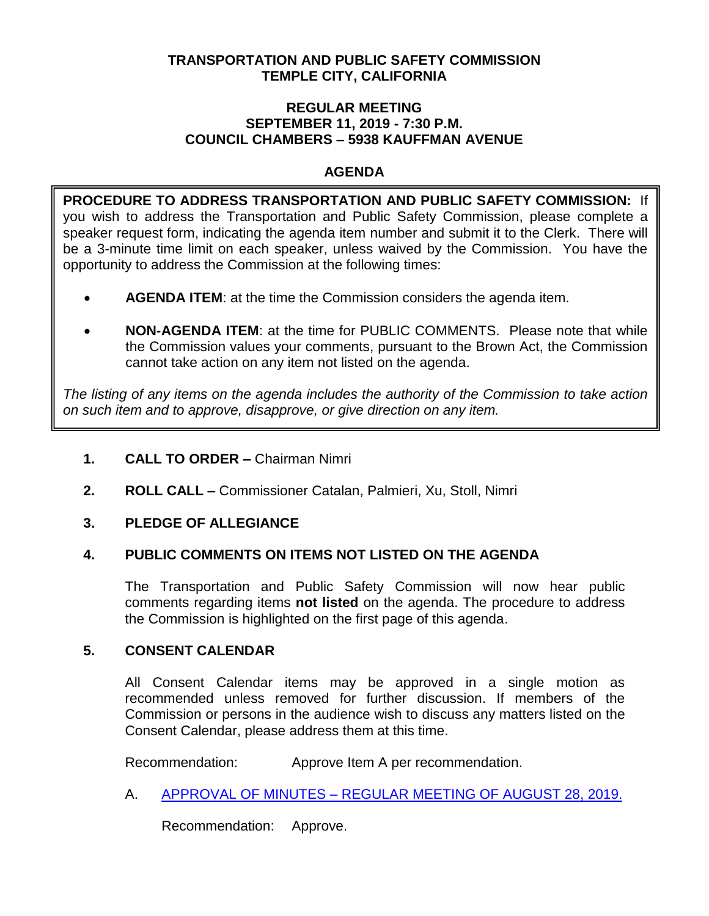## **TRANSPORTATION AND PUBLIC SAFETY COMMISSION TEMPLE CITY, CALIFORNIA**

### **REGULAR MEETING SEPTEMBER 11, 2019 - 7:30 P.M. COUNCIL CHAMBERS – 5938 KAUFFMAN AVENUE**

# **AGENDA**

**PROCEDURE TO ADDRESS TRANSPORTATION AND PUBLIC SAFETY COMMISSION:** If you wish to address the Transportation and Public Safety Commission, please complete a speaker request form, indicating the agenda item number and submit it to the Clerk. There will be a 3-minute time limit on each speaker, unless waived by the Commission. You have the opportunity to address the Commission at the following times:

- **AGENDA ITEM**: at the time the Commission considers the agenda item.
- **NON-AGENDA ITEM**: at the time for PUBLIC COMMENTS. Please note that while the Commission values your comments, pursuant to the Brown Act, the Commission cannot take action on any item not listed on the agenda.

*The listing of any items on the agenda includes the authority of the Commission to take action on such item and to approve, disapprove, or give direction on any item.*

- **1. CALL TO ORDER –** Chairman Nimri
- **2. ROLL CALL –** Commissioner Catalan, Palmieri, Xu, Stoll, Nimri

## **3. PLEDGE OF ALLEGIANCE**

## **4. PUBLIC COMMENTS ON ITEMS NOT LISTED ON THE AGENDA**

The Transportation and Public Safety Commission will now hear public comments regarding items **not listed** on the agenda. The procedure to address the Commission is highlighted on the first page of this agenda.

## **5. CONSENT CALENDAR**

All Consent Calendar items may be approved in a single motion as recommended unless removed for further discussion. If members of the Commission or persons in the audience wish to discuss any matters listed on the Consent Calendar, please address them at this time.

Recommendation: Approve Item A per recommendation.

A. APPROVAL OF MINUTES – [REGULAR MEETING OF AUGUST 28, 2019.](https://ca-templecity.civicplus.com/DocumentCenter/View/13092/TPSC-min-2019-08-28)

Recommendation: Approve.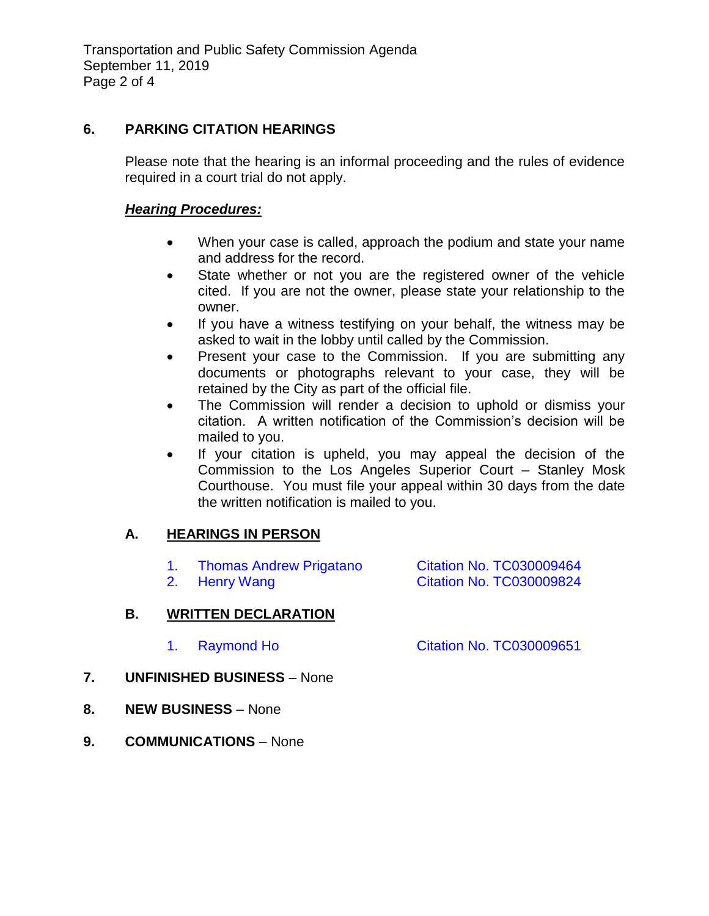# **6. PARKING CITATION HEARINGS**

Please note that the hearing is an informal proceeding and the rules of evidence required in a court trial do not apply.

## *Hearing Procedures:*

- When your case is called, approach the podium and state your name and address for the record.
- State whether or not you are the registered owner of the vehicle cited. If you are not the owner, please state your relationship to the owner.
- If you have a witness testifying on your behalf, the witness may be asked to wait in the lobby until called by the Commission.
- Present your case to the Commission. If you are submitting any documents or photographs relevant to your case, they will be retained by the City as part of the official file.
- The Commission will render a decision to uphold or dismiss your citation. A written notification of the Commission's decision will be mailed to you.
- If your citation is upheld, you may appeal the decision of the Commission to the Los Angeles Superior Court – Stanley Mosk Courthouse. You must file your appeal within 30 days from the date the written notification is mailed to you.

# **A. HEARINGS IN PERSON**

1. Thomas Andrew Prigatano [Citation No. TC030009464](https://ca-templecity.civicplus.com/DocumentCenter/View/13089/6A1-TC030009464) 2. [Henry Wang Citation No. TC030009824](https://ca-templecity.civicplus.com/DocumentCenter/View/13090/6A2-TC030009824)

# **B. WRITTEN DECLARATION**

- 1. Raymond Ho [Citation No. TC030009651](https://ca-templecity.civicplus.com/DocumentCenter/View/13091/6B1-TC030009651)
- **7. UNFINISHED BUSINESS** None
- **8. NEW BUSINESS** None
- **9. COMMUNICATIONS** None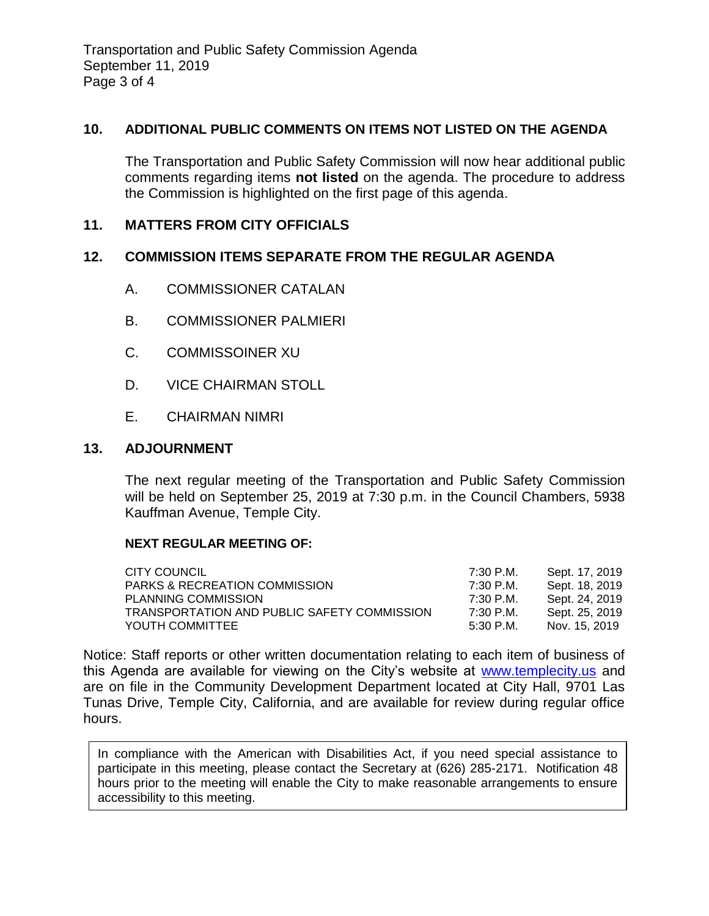Transportation and Public Safety Commission Agenda September 11, 2019 Page 3 of 4

### **10. ADDITIONAL PUBLIC COMMENTS ON ITEMS NOT LISTED ON THE AGENDA**

The Transportation and Public Safety Commission will now hear additional public comments regarding items **not listed** on the agenda. The procedure to address the Commission is highlighted on the first page of this agenda.

## **11. MATTERS FROM CITY OFFICIALS**

### **12. COMMISSION ITEMS SEPARATE FROM THE REGULAR AGENDA**

- A. COMMISSIONER CATALAN
- B. COMMISSIONER PALMIERI
- C. COMMISSOINER XU
- D. VICE CHAIRMAN STOLL
- E. CHAIRMAN NIMRI

### **13. ADJOURNMENT**

The next regular meeting of the Transportation and Public Safety Commission will be held on September 25, 2019 at 7:30 p.m. in the Council Chambers, 5938 Kauffman Avenue, Temple City.

#### **NEXT REGULAR MEETING OF:**

| CITY COUNCIL                                | 7:30 P.M. | Sept. 17, 2019 |
|---------------------------------------------|-----------|----------------|
| <b>PARKS &amp; RECREATION COMMISSION</b>    | 7:30 P.M. | Sept. 18, 2019 |
| PLANNING COMMISSION                         | 7:30 P.M. | Sept. 24, 2019 |
| TRANSPORTATION AND PUBLIC SAFETY COMMISSION | 7:30 P.M. | Sept. 25, 2019 |
| YOUTH COMMITTEE                             | 5:30 P.M. | Nov. 15, 2019  |

Notice: Staff reports or other written documentation relating to each item of business of this Agenda are available for viewing on the City's website at [www.templecity.us](http://www.templecity.us/) and are on file in the Community Development Department located at City Hall, 9701 Las Tunas Drive, Temple City, California, and are available for review during regular office hours.

In compliance with the American with Disabilities Act, if you need special assistance to participate in this meeting, please contact the Secretary at (626) 285-2171. Notification 48 hours prior to the meeting will enable the City to make reasonable arrangements to ensure accessibility to this meeting.